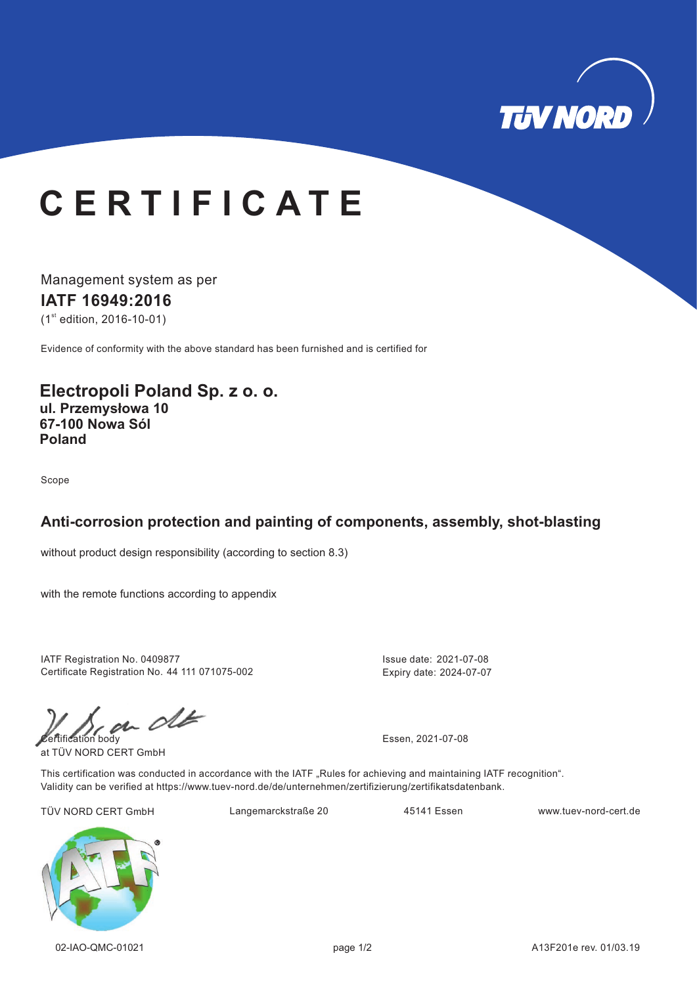

## **& E 5 7 , ) , & \$ 7 E**

Management system as per **IATF 16949:2016**  $(1<sup>st</sup>$  edition, 2016-10-01)

Evidence of conformity with the above standard has been furnished and is certified for

**Electropoli Poland Sp. z o. o. ul. Przemysłowa 10 67-100 Nowa Sól Poland**

Scope

#### **Anti-corrosion protection and painting of components, assembly, shot-blasting**

without product design responsibility (according to section 8.3)

with the remote functions according to appendix

IATF Registration No. 0409877 Certificate Registration No. 44 111 071075-002

 $\mathcal{C}$  can clear the Essen, 2021-07-08

at TÜV NORD CERT GmbH

Issue date: 2021-07-08 Expiry date: 2024-07-07

This certification was conducted in accordance with the IATF "Rules for achieving and maintaining IATF recognition". Validity can be verified at https://www.tuev-nord.de/de/unternehmen/zertifizierung/zertifikatsdatenbank.

TÜV NORD CERT GmbH Langemarckstraße 20 45141 Essen www.tuev-nord-cert.de